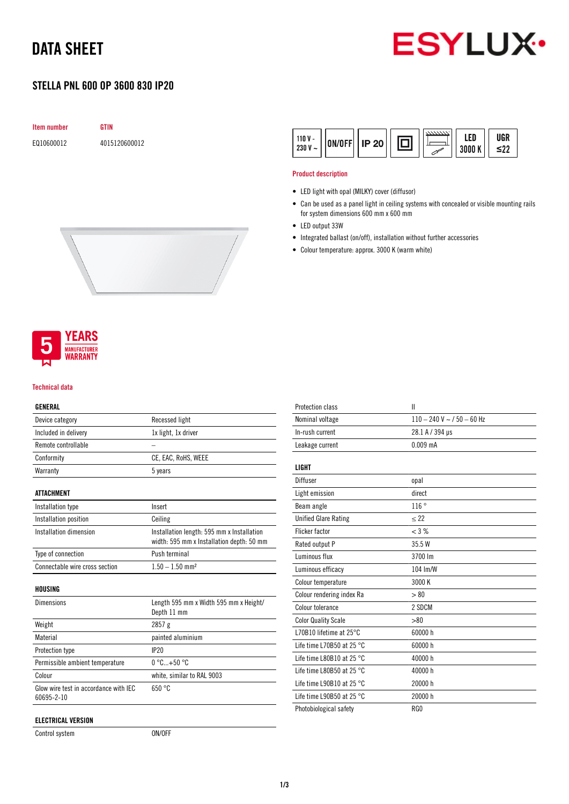# DATA SHEET



## STELLA PNL 600 OP 3600 830 IP20

| <b>Item number</b> | GTIN          |  |
|--------------------|---------------|--|
| E010600012         | 4015120600012 |  |



#### Product description

- LED light with opal (MILKY) cover (diffusor)
- Can be used as a panel light in ceiling systems with concealed or visible mounting rails for system dimensions 600 mm x 600 mm
- LED output 33W
- Integrated ballast (on/off), installation without further accessories
- Colour temperature: approx. 3000 K (warm white)





#### Technical data

### GENERAL

| Device category                                     | Recessed light                             |
|-----------------------------------------------------|--------------------------------------------|
| Included in delivery                                | 1x light, 1x driver                        |
| Remote controllable                                 |                                            |
| Conformity                                          | CE, EAC, RoHS, WEEE                        |
| Warranty                                            | 5 years                                    |
|                                                     |                                            |
| <b>ATTACHMENT</b>                                   |                                            |
| Installation type                                   | Insert                                     |
| Installation position                               | Ceiling                                    |
| Installation dimension                              | Installation length: 595 mm x Installation |
|                                                     | width: 595 mm x Installation depth: 50 mm  |
| Type of connection                                  | Push terminal                              |
| Connectable wire cross section                      | $1.50 - 1.50$ mm <sup>2</sup>              |
|                                                     |                                            |
| HOUSING                                             |                                            |
| <b>Dimensions</b>                                   | Length 595 mm x Width 595 mm x Height/     |
|                                                     | Depth 11 mm                                |
| Weight                                              | 2857g                                      |
| Material                                            | painted aluminium                          |
| Protection type                                     | IP20                                       |
| Permissible ambient temperature                     | $0^{\circ}$ C+50 $^{\circ}$ C              |
| Colour                                              | white, similar to RAL 9003                 |
| Glow wire test in accordance with IEC<br>60695-2-10 | 650 °C                                     |
|                                                     |                                            |

Control system ON/OFF

| <b>Protection class</b>             | Ш                            |
|-------------------------------------|------------------------------|
| Nominal voltage                     | $110 - 240$ V ~ / 50 - 60 Hz |
| In-rush current                     | 28.1 A / 394 µs              |
| Leakage current                     | $0.009$ mA                   |
| LIGHT                               |                              |
| Diffuser                            | opal                         |
| Light emission                      | direct                       |
| Beam angle                          | 116°                         |
| <b>Unified Glare Rating</b>         | $\leq$ 22                    |
| <b>Flicker factor</b>               | $<$ 3 %                      |
| Rated output P                      | 35.5 W                       |
| Luminous flux                       | 3700 lm                      |
| Luminous efficacy                   | 104 Im/W                     |
| Colour temperature                  | 3000 K                       |
| Colour rendering index Ra           | > 80                         |
| Colour tolerance                    | 2 SDCM                       |
| <b>Color Quality Scale</b>          | > 80                         |
| L70B10 lifetime at 25°C             | 60000 h                      |
| Life time L70B50 at 25 $^{\circ}$ C | 60000 h                      |
| Life time L80B10 at 25 $^{\circ}$ C | 40000 h                      |
| Life time L80B50 at 25 $^{\circ}$ C | 40000 h                      |
| Life time L90B10 at 25 $^{\circ}$ C | 20000 h                      |
| Life time L90B50 at 25 $^{\circ}$ C | 20000 h                      |
| Photobiological safety              | RG <sub>0</sub>              |
|                                     |                              |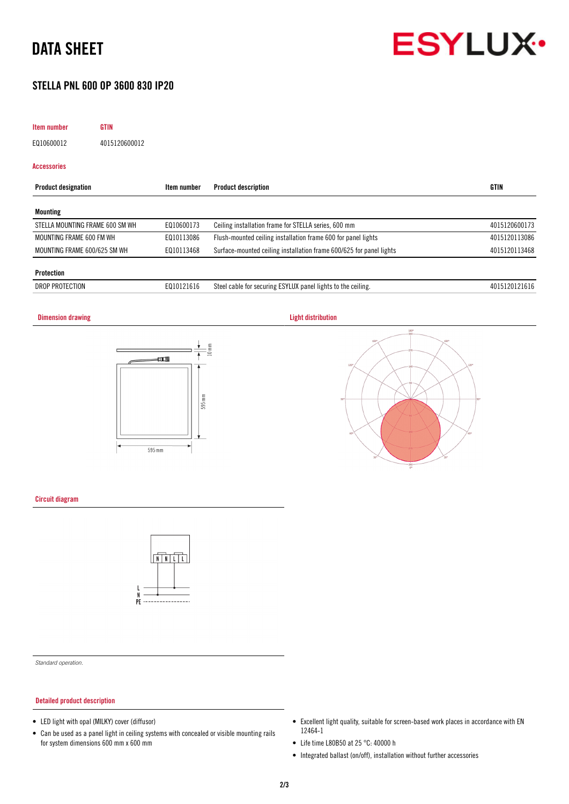# DATA SHEET

## STELLA PNL 600 OP 3600 830 IP20

## Item number GTIN EQ10600012 4015120600012 Accessories Product designation **Item number** Product description **International CITIN** GTIN Mounting STELLA MOUNTING FRAME 600 SM WH EQ10600173 Ceiling installation frame for STELLA series, 600 mm 4015120600173

| MOUNTING FRAME 600 FM WH     | E010113086 | Flush-mounted ceiling installation frame 600 for panel lights       | 3086<br>$20 -$<br>401 |
|------------------------------|------------|---------------------------------------------------------------------|-----------------------|
| MOUNTING FRAME 600/625 SM WH | E010113468 | Surface-mounted ceiling installation frame 600/625 for panel lights | 3468<br>1201<br>4015  |
|                              |            |                                                                     |                       |

#### Protection

| _CTION<br><b>DROF</b><br>7 N.V | , , , , , , , , | $\cdots$<br>:cvi<br>1111<br>$\cdots$<br>neiling.<br>lights<br>urıng<br>panel<br>TO THE<br>ю<br>.cault<br>IJΛ<br>$\cdot$ $\cdot$ $\cdot$ | 40<br>. |
|--------------------------------|-----------------|-----------------------------------------------------------------------------------------------------------------------------------------|---------|
|                                |                 |                                                                                                                                         |         |

# **Dimension drawing Community Community Community Community Community Community Community Community Community Community Community Community Community Community Community Community Community Community Community Community Com** 0 I 595 mm  $595 \text{ mm}$

## Circuit diagram



*Standard operation.*

#### Detailed product description

- LED light with opal (MILKY) cover (diffusor)
- Can be used as a panel light in ceiling systems with concealed or visible mounting rails for system dimensions 600 mm x 600 mm
- Excellent light quality, suitable for screen-based work places in accordance with EN 12464-1
- Life time L80B50 at 25 °C: 40000 h
- Integrated ballast (on/off), installation without further accessories